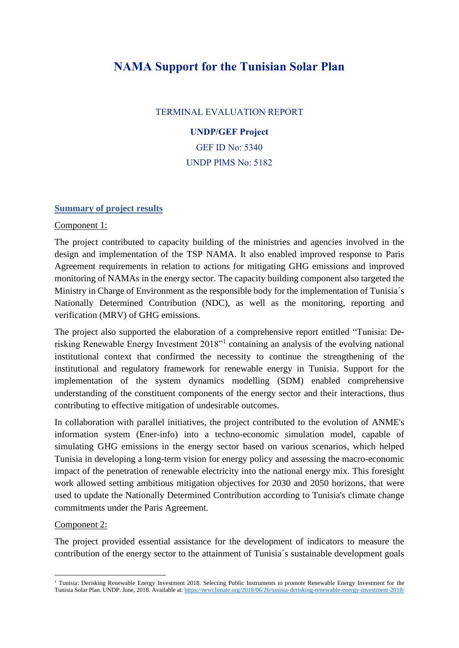# **NAMA Support for the Tunisian Solar Plan**

## TERMINAL EVALUATION REPORT

#### **UNDP/GEF Project**

GEF ID No: 5340 UNDP PIMS No: 5182

#### **Summary of project results**

#### Component 1:

The project contributed to capacity building of the ministries and agencies involved in the design and implementation of the TSP NAMA. It also enabled improved response to Paris Agreement requirements in relation to actions for mitigating GHG emissions and improved monitoring of NAMAs in the energy sector. The capacity building component also targeted the Ministry in Charge of Environment as the responsible body for the implementation of Tunisia´s Nationally Determined Contribution (NDC), as well as the monitoring, reporting and verification (MRV) of GHG emissions.

The project also supported the elaboration of a comprehensive report entitled "Tunisia: Derisking Renewable Energy Investment 2018"<sup>1</sup> containing an analysis of the evolving national institutional context that confirmed the necessity to continue the strengthening of the institutional and regulatory framework for renewable energy in Tunisia. Support for the implementation of the system dynamics modelling (SDM) enabled comprehensive understanding of the constituent components of the energy sector and their interactions, thus contributing to effective mitigation of undesirable outcomes.

In collaboration with parallel initiatives, the project contributed to the evolution of ANME's information system (Ener-info) into a techno-economic simulation model, capable of simulating GHG emissions in the energy sector based on various scenarios, which helped Tunisia in developing a long-term vision for energy policy and assessing the macro-economic impact of the penetration of renewable electricity into the national energy mix. This foresight work allowed setting ambitious mitigation objectives for 2030 and 2050 horizons, that were used to update the Nationally Determined Contribution according to Tunisia's climate change commitments under the Paris Agreement.

## Component 2:

The project provided essential assistance for the development of indicators to measure the contribution of the energy sector to the attainment of Tunisia´s sustainable development goals

<sup>&</sup>lt;sup>1</sup> Tunisia: Derisking Renewable Energy Investment 2018. Selecting Public Instruments to promote Renewable Energy Investment for the Tunisia Solar Plan. UNDP. June, 2018. Available at[: https://newclimate.org/2018/06/26/tunisia-derisking-renewable-energy-investment-2018/](https://newclimate.org/2018/06/26/tunisia-derisking-renewable-energy-investment-2018/)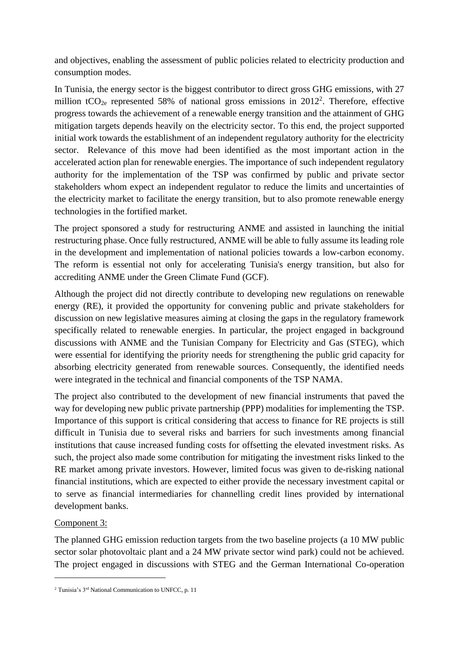and objectives, enabling the assessment of public policies related to electricity production and consumption modes.

In Tunisia, the energy sector is the biggest contributor to direct gross GHG emissions, with 27 million tCO<sub>2e</sub> represented 58% of national gross emissions in  $2012^2$ . Therefore, effective progress towards the achievement of a renewable energy transition and the attainment of GHG mitigation targets depends heavily on the electricity sector. To this end, the project supported initial work towards the establishment of an independent regulatory authority for the electricity sector. Relevance of this move had been identified as the most important action in the accelerated action plan for renewable energies. The importance of such independent regulatory authority for the implementation of the TSP was confirmed by public and private sector stakeholders whom expect an independent regulator to reduce the limits and uncertainties of the electricity market to facilitate the energy transition, but to also promote renewable energy technologies in the fortified market.

The project sponsored a study for restructuring ANME and assisted in launching the initial restructuring phase. Once fully restructured, ANME will be able to fully assume its leading role in the development and implementation of national policies towards a low-carbon economy. The reform is essential not only for accelerating Tunisia's energy transition, but also for accrediting ANME under the Green Climate Fund (GCF).

Although the project did not directly contribute to developing new regulations on renewable energy (RE), it provided the opportunity for convening public and private stakeholders for discussion on new legislative measures aiming at closing the gaps in the regulatory framework specifically related to renewable energies. In particular, the project engaged in background discussions with ANME and the Tunisian Company for Electricity and Gas (STEG), which were essential for identifying the priority needs for strengthening the public grid capacity for absorbing electricity generated from renewable sources. Consequently, the identified needs were integrated in the technical and financial components of the TSP NAMA.

The project also contributed to the development of new financial instruments that paved the way for developing new public private partnership (PPP) modalities for implementing the TSP. Importance of this support is critical considering that access to finance for RE projects is still difficult in Tunisia due to several risks and barriers for such investments among financial institutions that cause increased funding costs for offsetting the elevated investment risks. As such, the project also made some contribution for mitigating the investment risks linked to the RE market among private investors. However, limited focus was given to de-risking national financial institutions, which are expected to either provide the necessary investment capital or to serve as financial intermediaries for channelling credit lines provided by international development banks.

# Component 3:

The planned GHG emission reduction targets from the two baseline projects (a 10 MW public sector solar photovoltaic plant and a 24 MW private sector wind park) could not be achieved. The project engaged in discussions with STEG and the German International Co-operation

<sup>&</sup>lt;sup>2</sup> Tunisia's  $3<sup>rd</sup>$  National Communication to UNFCC, p. 11